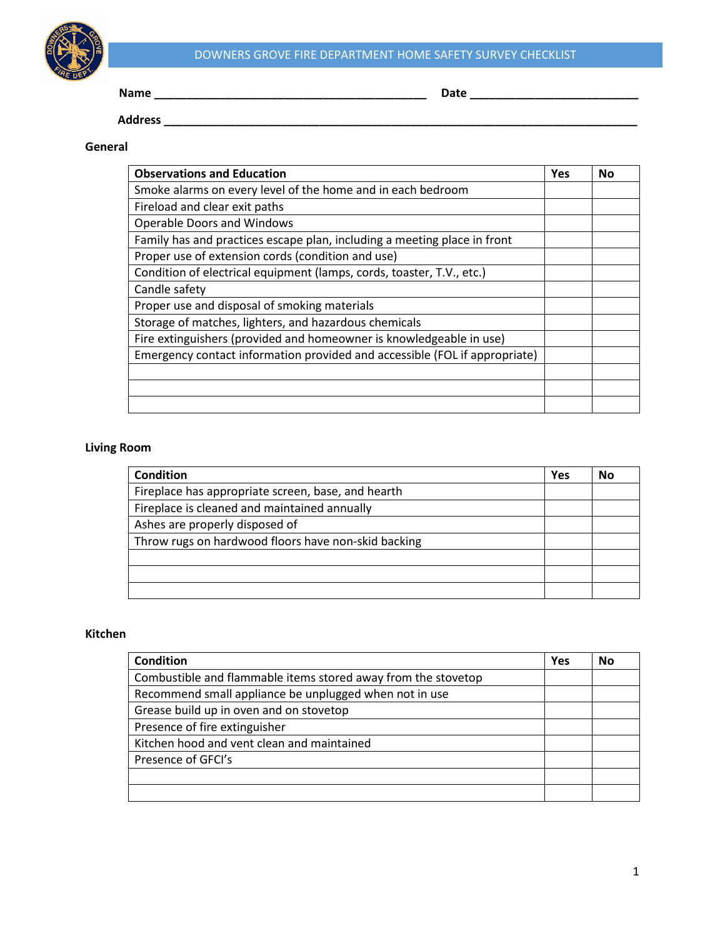

# DOWNERS GROVE FIRE DEPARTMENT HOME SAFETY SURVEY CHECKLIST

**Name \_\_\_\_\_\_\_\_\_\_\_\_\_\_\_\_\_\_\_\_\_\_\_\_\_\_\_\_\_\_\_\_\_\_\_\_\_\_\_\_\_\_ Date \_\_\_\_\_\_\_\_\_\_\_\_\_\_\_\_\_\_\_\_\_\_\_\_\_\_**

 **Address \_\_\_\_\_\_\_\_\_\_\_\_\_\_\_\_\_\_\_\_\_\_\_\_\_\_\_\_\_\_\_\_\_\_\_\_\_\_\_\_\_\_\_\_\_\_\_\_\_\_\_\_\_\_\_\_\_\_\_\_\_\_\_\_\_\_\_\_\_\_\_\_\_**

## **General**

| <b>Observations and Education</b>                                          | Yes | No |
|----------------------------------------------------------------------------|-----|----|
| Smoke alarms on every level of the home and in each bedroom                |     |    |
| Fireload and clear exit paths                                              |     |    |
| <b>Operable Doors and Windows</b>                                          |     |    |
| Family has and practices escape plan, including a meeting place in front   |     |    |
| Proper use of extension cords (condition and use)                          |     |    |
| Condition of electrical equipment (lamps, cords, toaster, T.V., etc.)      |     |    |
| Candle safety                                                              |     |    |
| Proper use and disposal of smoking materials                               |     |    |
| Storage of matches, lighters, and hazardous chemicals                      |     |    |
| Fire extinguishers (provided and homeowner is knowledgeable in use)        |     |    |
| Emergency contact information provided and accessible (FOL if appropriate) |     |    |
|                                                                            |     |    |
|                                                                            |     |    |
|                                                                            |     |    |

### **Living Room**

| <b>Condition</b>                                    | Yes | No |
|-----------------------------------------------------|-----|----|
| Fireplace has appropriate screen, base, and hearth  |     |    |
| Fireplace is cleaned and maintained annually        |     |    |
| Ashes are properly disposed of                      |     |    |
| Throw rugs on hardwood floors have non-skid backing |     |    |
|                                                     |     |    |
|                                                     |     |    |
|                                                     |     |    |

## **Kitchen**

| <b>Condition</b>                                              | Yes | No |
|---------------------------------------------------------------|-----|----|
| Combustible and flammable items stored away from the stovetop |     |    |
| Recommend small appliance be unplugged when not in use        |     |    |
| Grease build up in oven and on stovetop                       |     |    |
| Presence of fire extinguisher                                 |     |    |
| Kitchen hood and vent clean and maintained                    |     |    |
| Presence of GFCI's                                            |     |    |
|                                                               |     |    |
|                                                               |     |    |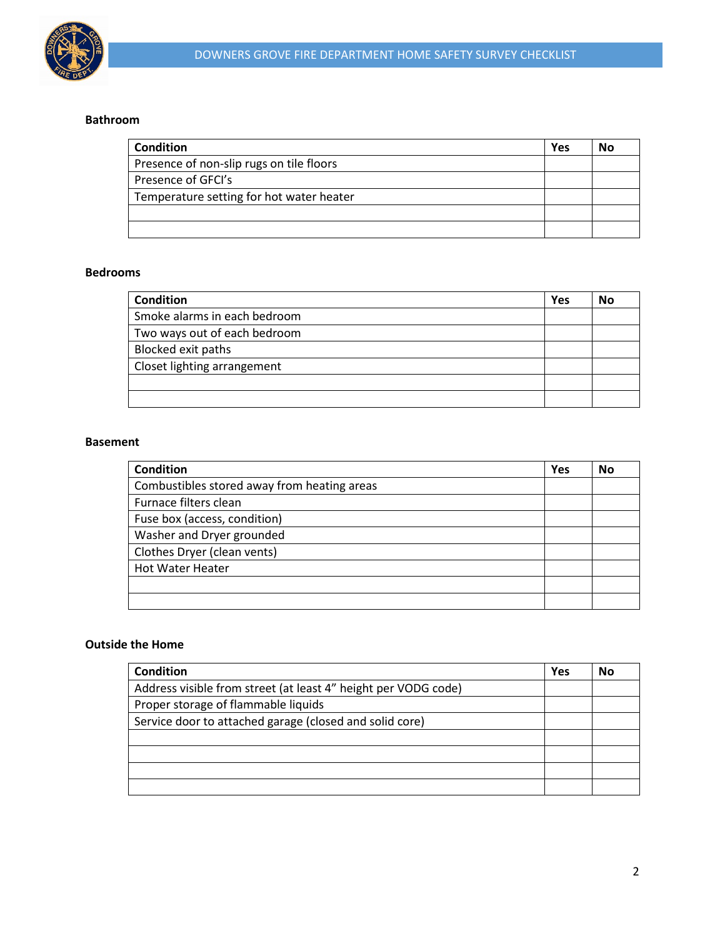

#### **Bathroom**

| <b>Condition</b>                         | Yes | No |
|------------------------------------------|-----|----|
| Presence of non-slip rugs on tile floors |     |    |
| Presence of GFCI's                       |     |    |
| Temperature setting for hot water heater |     |    |
|                                          |     |    |
|                                          |     |    |

#### **Bedrooms**

| <b>Condition</b>             | Yes | No |
|------------------------------|-----|----|
| Smoke alarms in each bedroom |     |    |
| Two ways out of each bedroom |     |    |
| Blocked exit paths           |     |    |
| Closet lighting arrangement  |     |    |
|                              |     |    |
|                              |     |    |

#### **Basement**

| <b>Condition</b>                            | Yes | No |
|---------------------------------------------|-----|----|
| Combustibles stored away from heating areas |     |    |
| Furnace filters clean                       |     |    |
| Fuse box (access, condition)                |     |    |
| Washer and Dryer grounded                   |     |    |
| Clothes Dryer (clean vents)                 |     |    |
| <b>Hot Water Heater</b>                     |     |    |
|                                             |     |    |
|                                             |     |    |

## **Outside the Home**

| Condition                                                      | <b>Yes</b> | No |
|----------------------------------------------------------------|------------|----|
| Address visible from street (at least 4" height per VODG code) |            |    |
| Proper storage of flammable liquids                            |            |    |
| Service door to attached garage (closed and solid core)        |            |    |
|                                                                |            |    |
|                                                                |            |    |
|                                                                |            |    |
|                                                                |            |    |